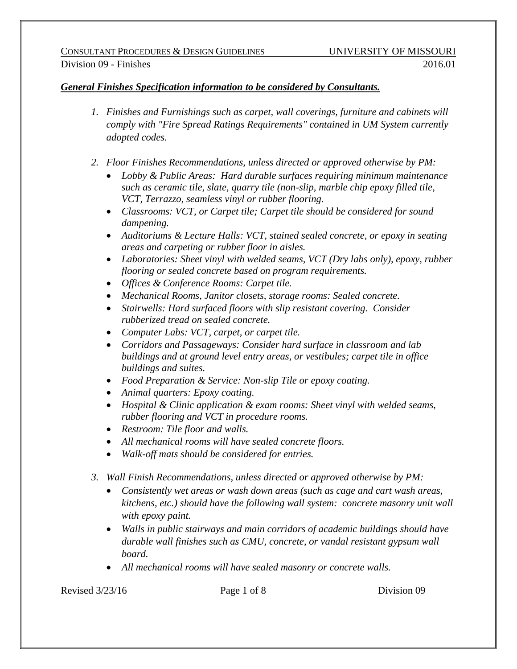## *General Finishes Specification information to be considered by Consultants.*

- *1. Finishes and Furnishings such as carpet, wall coverings, furniture and cabinets will comply with "Fire Spread Ratings Requirements" contained in UM System currently adopted codes.*
- *2. Floor Finishes Recommendations, unless directed or approved otherwise by PM:*
	- *Lobby & Public Areas: Hard durable surfaces requiring minimum maintenance such as ceramic tile, slate, quarry tile (non-slip, marble chip epoxy filled tile, VCT, Terrazzo, seamless vinyl or rubber flooring.*
	- *Classrooms: VCT, or Carpet tile; Carpet tile should be considered for sound dampening.*
	- *Auditoriums & Lecture Halls: VCT, stained sealed concrete, or epoxy in seating areas and carpeting or rubber floor in aisles.*
	- *Laboratories: Sheet vinyl with welded seams, VCT (Dry labs only), epoxy, rubber flooring or sealed concrete based on program requirements.*
	- *Offices & Conference Rooms: Carpet tile.*
	- *Mechanical Rooms, Janitor closets, storage rooms: Sealed concrete.*
	- *Stairwells: Hard surfaced floors with slip resistant covering. Consider rubberized tread on sealed concrete.*
	- *Computer Labs: VCT, carpet, or carpet tile.*
	- *Corridors and Passageways: Consider hard surface in classroom and lab buildings and at ground level entry areas, or vestibules; carpet tile in office buildings and suites.*
	- *Food Preparation & Service: Non-slip Tile or epoxy coating.*
	- *Animal quarters: Epoxy coating.*
	- *Hospital & Clinic application & exam rooms: Sheet vinyl with welded seams, rubber flooring and VCT in procedure rooms.*
	- *Restroom: Tile floor and walls.*
	- *All mechanical rooms will have sealed concrete floors.*
	- *Walk-off mats should be considered for entries.*
- *3. Wall Finish Recommendations, unless directed or approved otherwise by PM:*
	- *Consistently wet areas or wash down areas (such as cage and cart wash areas, kitchens, etc.) should have the following wall system: concrete masonry unit wall with epoxy paint.*
	- *Walls in public stairways and main corridors of academic buildings should have durable wall finishes such as CMU, concrete, or vandal resistant gypsum wall board.*
	- *All mechanical rooms will have sealed masonry or concrete walls.*

Revised  $3/23/16$  Page 1 of 8 Division 09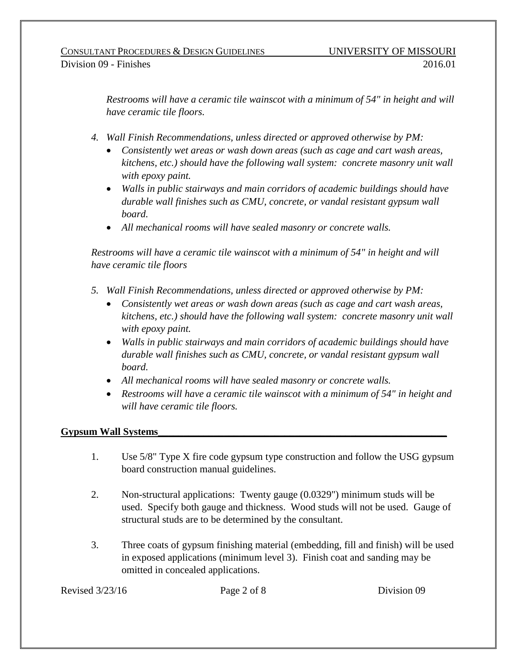*Restrooms will have a ceramic tile wainscot with a minimum of 54" in height and will have ceramic tile floors.*

- *4. Wall Finish Recommendations, unless directed or approved otherwise by PM:*
	- *Consistently wet areas or wash down areas (such as cage and cart wash areas, kitchens, etc.) should have the following wall system: concrete masonry unit wall with epoxy paint.*
	- *Walls in public stairways and main corridors of academic buildings should have durable wall finishes such as CMU, concrete, or vandal resistant gypsum wall board.*
	- *All mechanical rooms will have sealed masonry or concrete walls.*

*Restrooms will have a ceramic tile wainscot with a minimum of 54" in height and will have ceramic tile floors*

- *5. Wall Finish Recommendations, unless directed or approved otherwise by PM:*
	- *Consistently wet areas or wash down areas (such as cage and cart wash areas, kitchens, etc.) should have the following wall system: concrete masonry unit wall with epoxy paint.*
	- *Walls in public stairways and main corridors of academic buildings should have durable wall finishes such as CMU, concrete, or vandal resistant gypsum wall board.*
	- *All mechanical rooms will have sealed masonry or concrete walls.*
	- *Restrooms will have a ceramic tile wainscot with a minimum of 54" in height and will have ceramic tile floors.*

# **Gypsum Wall Systems\_\_\_\_\_\_\_\_\_\_\_\_\_\_\_\_\_\_\_\_\_\_\_\_\_\_\_\_\_\_\_\_\_\_\_\_\_\_\_\_\_\_\_\_\_\_\_\_\_\_\_\_\_\_\_\_\_**

- 1. Use 5/8" Type X fire code gypsum type construction and follow the USG gypsum board construction manual guidelines.
- 2. Non-structural applications: Twenty gauge (0.0329") minimum studs will be used. Specify both gauge and thickness. Wood studs will not be used. Gauge of structural studs are to be determined by the consultant.
- 3. Three coats of gypsum finishing material (embedding, fill and finish) will be used in exposed applications (minimum level 3). Finish coat and sanding may be omitted in concealed applications.

Revised  $3/23/16$  Page 2 of 8 Division 09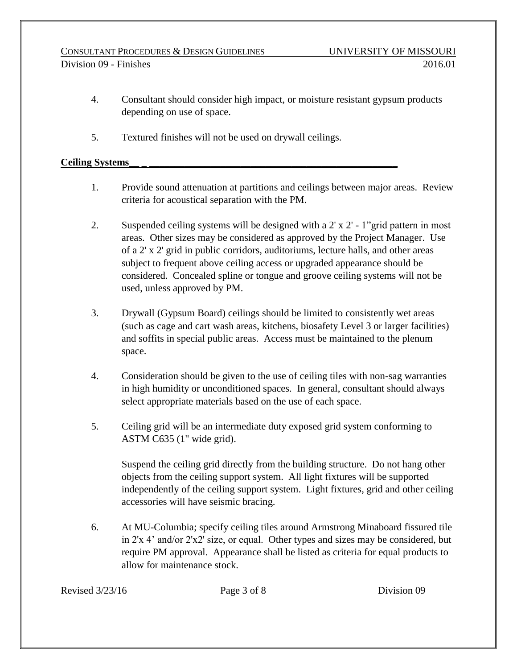- 4. Consultant should consider high impact, or moisture resistant gypsum products depending on use of space.
- 5. Textured finishes will not be used on drywall ceilings.

## **Ceiling Systems\_\_ \_ \_\_\_\_\_\_\_\_\_\_\_\_\_\_\_\_\_\_\_\_\_\_\_\_\_\_\_\_\_\_\_\_\_\_\_\_\_\_\_\_\_\_\_\_\_\_\_\_\_**

- 1. Provide sound attenuation at partitions and ceilings between major areas. Review criteria for acoustical separation with the PM.
- 2. Suspended ceiling systems will be designed with a 2' x 2' 1"grid pattern in most areas. Other sizes may be considered as approved by the Project Manager. Use of a 2' x 2' grid in public corridors, auditoriums, lecture halls, and other areas subject to frequent above ceiling access or upgraded appearance should be considered. Concealed spline or tongue and groove ceiling systems will not be used, unless approved by PM.
- 3. Drywall (Gypsum Board) ceilings should be limited to consistently wet areas (such as cage and cart wash areas, kitchens, biosafety Level 3 or larger facilities) and soffits in special public areas. Access must be maintained to the plenum space.
- 4. Consideration should be given to the use of ceiling tiles with non-sag warranties in high humidity or unconditioned spaces. In general, consultant should always select appropriate materials based on the use of each space.
- 5. Ceiling grid will be an intermediate duty exposed grid system conforming to ASTM C635 (1" wide grid).

Suspend the ceiling grid directly from the building structure. Do not hang other objects from the ceiling support system. All light fixtures will be supported independently of the ceiling support system. Light fixtures, grid and other ceiling accessories will have seismic bracing.

6. At MU-Columbia; specify ceiling tiles around Armstrong Minaboard fissured tile in 2'x 4' and/or 2'x2' size, or equal. Other types and sizes may be considered, but require PM approval. Appearance shall be listed as criteria for equal products to allow for maintenance stock.

Revised  $3/23/16$  Page 3 of 8 Division 09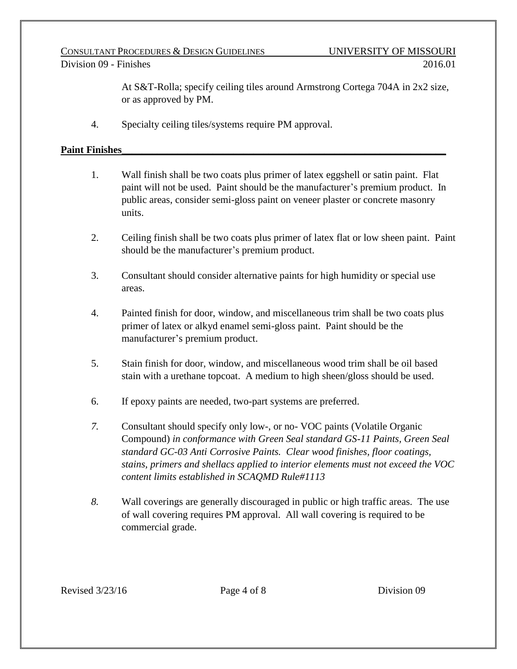#### CONSULTANT PROCEDURES & DESIGN GUIDELINES UNIVERSITY OF MISSOURI Division 09 - Finishes 2016.01

At S&T-Rolla; specify ceiling tiles around Armstrong Cortega 704A in 2x2 size, or as approved by PM.

4. Specialty ceiling tiles/systems require PM approval.

## Paint Finishes

- 1. Wall finish shall be two coats plus primer of latex eggshell or satin paint. Flat paint will not be used. Paint should be the manufacturer's premium product. In public areas, consider semi-gloss paint on veneer plaster or concrete masonry units.
- 2. Ceiling finish shall be two coats plus primer of latex flat or low sheen paint. Paint should be the manufacturer's premium product.
- 3. Consultant should consider alternative paints for high humidity or special use areas.
- 4. Painted finish for door, window, and miscellaneous trim shall be two coats plus primer of latex or alkyd enamel semi-gloss paint. Paint should be the manufacturer's premium product.
- 5. Stain finish for door, window, and miscellaneous wood trim shall be oil based stain with a urethane topcoat. A medium to high sheen/gloss should be used.
- 6. If epoxy paints are needed, two-part systems are preferred.
- *7.* Consultant should specify only low-, or no- VOC paints (Volatile Organic Compound) *in conformance with Green Seal standard GS-11 Paints, Green Seal standard GC-03 Anti Corrosive Paints. Clear wood finishes, floor coatings, stains, primers and shellacs applied to interior elements must not exceed the VOC content limits established in SCAQMD Rule#1113*
- *8.* Wall coverings are generally discouraged in public or high traffic areas. The use of wall covering requires PM approval. All wall covering is required to be commercial grade.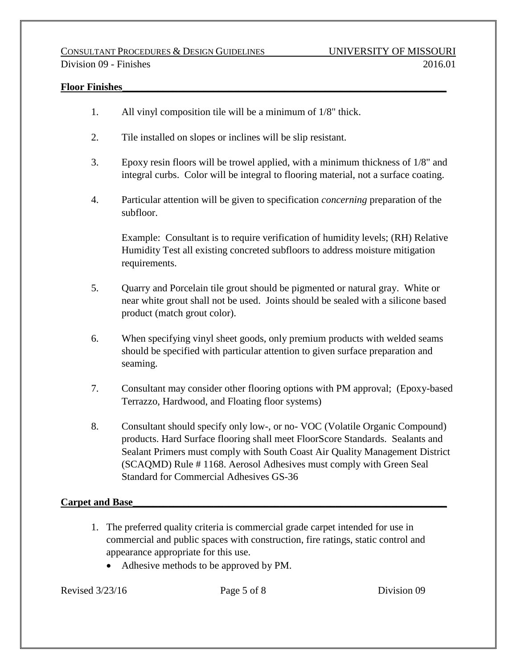#### Floor Finishes

- 1. All vinyl composition tile will be a minimum of 1/8" thick.
- 2. Tile installed on slopes or inclines will be slip resistant.
- 3. Epoxy resin floors will be trowel applied, with a minimum thickness of 1/8" and integral curbs. Color will be integral to flooring material, not a surface coating.
- 4. Particular attention will be given to specification *concerning* preparation of the subfloor.

Example: Consultant is to require verification of humidity levels; (RH) Relative Humidity Test all existing concreted subfloors to address moisture mitigation requirements.

- 5. Quarry and Porcelain tile grout should be pigmented or natural gray. White or near white grout shall not be used. Joints should be sealed with a silicone based product (match grout color).
- 6. When specifying vinyl sheet goods, only premium products with welded seams should be specified with particular attention to given surface preparation and seaming.
- 7. Consultant may consider other flooring options with PM approval; (Epoxy-based Terrazzo, Hardwood, and Floating floor systems)
- 8. Consultant should specify only low-, or no- VOC (Volatile Organic Compound) products. Hard Surface flooring shall meet FloorScore Standards. Sealants and Sealant Primers must comply with South Coast Air Quality Management District (SCAQMD) Rule # 1168. Aerosol Adhesives must comply with Green Seal Standard for Commercial Adhesives GS-36

#### **Carpet and Base\_\_\_\_\_\_\_\_\_\_\_\_\_\_\_\_\_\_\_\_\_\_\_\_\_\_\_\_\_\_\_\_\_\_\_\_\_\_\_\_\_\_\_\_\_\_\_\_\_\_\_\_\_\_\_\_\_\_\_\_\_\_**

- 1. The preferred quality criteria is commercial grade carpet intended for use in commercial and public spaces with construction, fire ratings, static control and appearance appropriate for this use.
	- Adhesive methods to be approved by PM.

Revised  $3/23/16$  Page 5 of 8 Division 09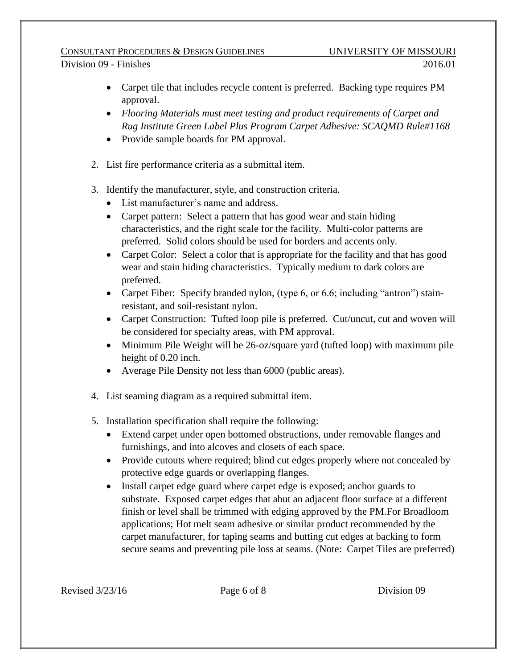#### CONSULTANT PROCEDURES & DESIGN GUIDELINES UNIVERSITY OF MISSOURI Division 09 - Finishes 2016.01

- Carpet tile that includes recycle content is preferred. Backing type requires PM approval.
- *Flooring Materials must meet testing and product requirements of Carpet and Rug Institute Green Label Plus Program Carpet Adhesive: SCAQMD Rule#1168*
- Provide sample boards for PM approval.
- 2. List fire performance criteria as a submittal item.
- 3. Identify the manufacturer, style, and construction criteria.
	- List manufacturer's name and address.
	- Carpet pattern: Select a pattern that has good wear and stain hiding characteristics, and the right scale for the facility. Multi-color patterns are preferred. Solid colors should be used for borders and accents only.
	- Carpet Color: Select a color that is appropriate for the facility and that has good wear and stain hiding characteristics. Typically medium to dark colors are preferred.
	- Carpet Fiber: Specify branded nylon, (type 6, or 6.6; including "antron") stainresistant, and soil-resistant nylon.
	- Carpet Construction: Tufted loop pile is preferred. Cut/uncut, cut and woven will be considered for specialty areas, with PM approval.
	- Minimum Pile Weight will be 26-oz/square yard (tufted loop) with maximum pile height of 0.20 inch.
	- Average Pile Density not less than 6000 (public areas).
- 4. List seaming diagram as a required submittal item.
- 5. Installation specification shall require the following:
	- Extend carpet under open bottomed obstructions, under removable flanges and furnishings, and into alcoves and closets of each space.
	- Provide cutouts where required; blind cut edges properly where not concealed by protective edge guards or overlapping flanges.
	- Install carpet edge guard where carpet edge is exposed; anchor guards to substrate. Exposed carpet edges that abut an adjacent floor surface at a different finish or level shall be trimmed with edging approved by the PM.For Broadloom applications; Hot melt seam adhesive or similar product recommended by the carpet manufacturer, for taping seams and butting cut edges at backing to form secure seams and preventing pile loss at seams. (Note: Carpet Tiles are preferred)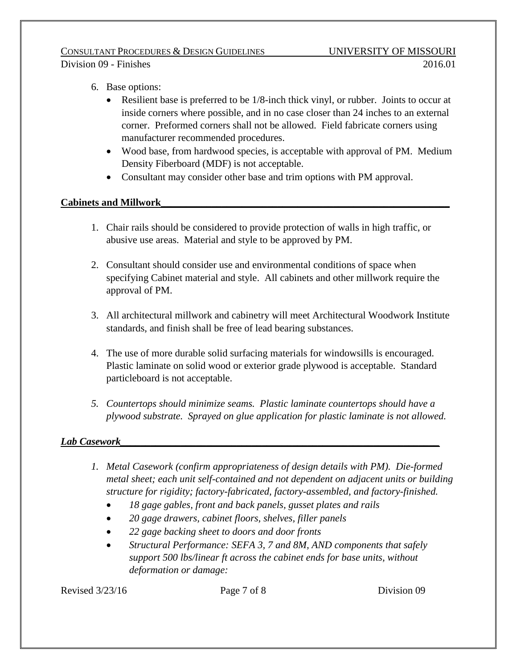#### CONSULTANT PROCEDURES & DESIGN GUIDELINES UNIVERSITY OF MISSOURI Division 09 - Finishes 2016.01

- 6. Base options:
	- Resilient base is preferred to be 1/8-inch thick vinyl, or rubber. Joints to occur at inside corners where possible, and in no case closer than 24 inches to an external corner. Preformed corners shall not be allowed. Field fabricate corners using manufacturer recommended procedures.
	- Wood base, from hardwood species, is acceptable with approval of PM. Medium Density Fiberboard (MDF) is not acceptable.
	- Consultant may consider other base and trim options with PM approval.

# **Cabinets and Millwork\_\_\_\_\_\_\_\_\_\_\_\_\_\_\_\_\_\_\_\_\_\_\_\_\_\_\_\_\_\_\_\_\_\_\_\_\_\_\_\_\_\_\_\_\_\_\_\_\_\_\_\_\_\_\_\_\_**

- 1. Chair rails should be considered to provide protection of walls in high traffic, or abusive use areas. Material and style to be approved by PM.
- 2. Consultant should consider use and environmental conditions of space when specifying Cabinet material and style. All cabinets and other millwork require the approval of PM.
- 3. All architectural millwork and cabinetry will meet Architectural Woodwork Institute standards, and finish shall be free of lead bearing substances.
- 4. The use of more durable solid surfacing materials for windowsills is encouraged. Plastic laminate on solid wood or exterior grade plywood is acceptable. Standard particleboard is not acceptable.
- *5. Countertops should minimize seams. Plastic laminate countertops should have a plywood substrate. Sprayed on glue application for plastic laminate is not allowed.*

# *Lab Casework\_\_\_\_\_\_\_\_\_\_\_\_\_\_\_\_\_\_\_\_\_\_\_\_\_\_\_\_\_\_\_\_\_\_\_\_\_\_\_\_\_\_\_\_\_\_\_\_\_\_\_\_\_\_\_\_\_\_\_\_\_\_\_*

- *1. Metal Casework (confirm appropriateness of design details with PM). Die-formed metal sheet; each unit self-contained and not dependent on adjacent units or building structure for rigidity; factory-fabricated, factory-assembled, and factory-finished.*
	- *18 gage gables, front and back panels, gusset plates and rails*
	- *20 gage drawers, cabinet floors, shelves, filler panels*
	- *22 gage backing sheet to doors and door fronts*
	- *Structural Performance: SEFA 3, 7 and 8M, AND components that safely support 500 lbs/linear ft across the cabinet ends for base units, without deformation or damage:*

Revised  $3/23/16$  Page 7 of 8 Division 09